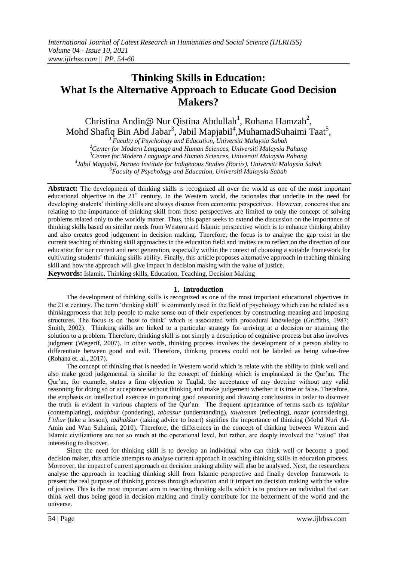# **Thinking Skills in Education: What Is the Alternative Approach to Educate Good Decision Makers?**

Christina Andin@ Nur Qistina Abdullah<sup>1</sup>, Rohana Hamzah<sup>2</sup>, Mohd Shafiq Bin Abd Jabar<sup>3</sup>, Jabil Mapjabil<sup>4</sup>, Muhamad Suhaimi Taat<sup>5</sup>,

*Faculty of Psychology and Education, Universiti Malaysia Sabah Center for Modern Language and Human Sciences, Universiti Malaysia Pahang Center for Modern Language and Human Sciences, Universiti Malaysia Pahang Jabil Mapjabil, Borneo Institute for Indigenous Studies (Boriis), Universiti Malaysia Sabah Faculty of Psychology and Education, Universiti Malaysia Sabah*

**Abstract:** The development of thinking skills is recognized all over the world as one of the most important educational objective in the  $21<sup>st</sup>$  century. In the Western world, the rationales that underlie in the need for developing students' thinking skills are always discuss from economic perspectives. However, concerns that are relating to the importance of thinking skill from those perspectives are limited to only the concept of solving problems related only to the worldly matter. Thus, this paper seeks to extend the discussion on the importance of thinking skills based on similar needs from Western and Islamic perspective which is to enhance thinking ability and also creates good judgement in decision making. Therefore, the focus is to analyse the gap exist in the current teaching of thinking skill approaches in the education field and invites us to reflect on the direction of our education for our current and next generation, especially within the context of choosing a suitable framework for cultivating students" thinking skills ability. Finally, this article proposes alternative approach in teaching thinking skill and how the approach will give impact in decision making with the value of justice. **Keywords:** Islamic, Thinking skills, Education, Teaching, Decision Making

#### **1. Introduction**

The development of thinking skills is recognized as one of the most important educational objectives in the 21st century. The term "thinking skill" is commonly used in the field of psychology which can be related as a thinkingprocess that help people to make sense out of their experiences by constructing meaning and imposing structures. The focus is on "how to think" which is associated with procedural knowledge (Griffiths, 1987; Smith, 2002). Thinking skills are linked to a particular strategy for arriving at a decision or attaining the solution to a problem. Therefore, thinking skill is not simply a description of cognitive process but also involves judgment (Wegerif, 2007). In other words, thinking process involves the development of a person ability to differentiate between good and evil. Therefore, thinking process could not be labeled as being value-free (Rohana et. al., 2017).

The concept of thinking that is needed in Western world which is relate with the ability to think well and also make good judgemental is similar to the concept of thinking which is emphasized in the Qur"an. The Qur"an, for example, states a firm objection to Taqlid, the acceptance of any doctrine without any valid reasoning for doing so or acceptance without thinking and make judgement whether it is true or false. Therefore, the emphasis on intellectual exercise in pursuing good reasoning and drawing conclusions in order to discover the truth is evident in various chapters of the Qur"an. The frequent appearance of terms such as *tafakkur* (contemplating), *tadabbur* (pondering), *tabassur* (understanding), *tawassum* (reflecting), *nazar* (considering), *I"tibar* (take a lesson), *tadhakkur* (taking advice to heart) signifies the importance of thinking (Mohd Nuri Al-Amin and Wan Suhaimi, 2010). Therefore, the differences in the concept of thinking between Western and Islamic civilizations are not so much at the operational level, but rather, are deeply involved the "value" that interesting to discover.

Since the need for thinking skill is to develop an individual who can think well or become a good decision maker, this article attempts to analyse current approach in teaching thinking skills in education process. Moreover, the impact of current approach on decision making ability will also be analysed. Next, the researchers analyse the approach in teaching thinking skill from Islamic perspective and finally develop framework to present the real purpose of thinking process through education and it impact on decision making with the value of justice. This is the most important aim in teaching thinking skills which is to produce an individual that can think well thus being good in decision making and finally contribute for the betterment of the world and the universe.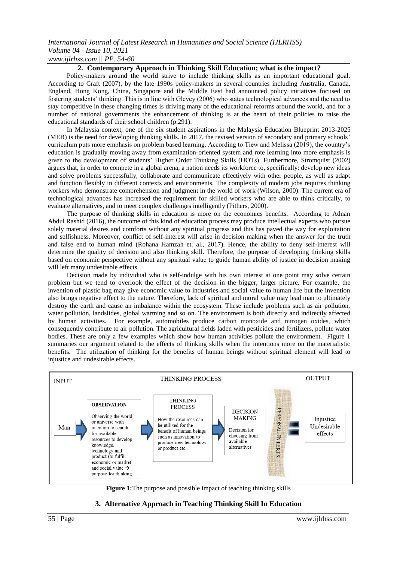#### *International Journal of Latest Research in Humanities and Social Science (IJLRHSS) Volume 04 - Issue 10, 2021 www.ijlrhss.com || PP. 54-60*

#### **2. Contemporary Approach in Thinking Skill Education; what is the impact?**

Policy-makers around the world strive to include thinking skills as an important educational goal. According to Craft (2007), by the late 1990s policy-makers in several countries including Australia, Canada, England, Hong Kong, China, Singapore and the Middle East had announced policy initiatives focused on fostering students" thinking. This is in line with Glevey (2006) who states technological advances and the need to stay competitive in these changing times is driving many of the educational reforms around the world, and for a number of national governments the enhancement of thinking is at the heart of their policies to raise the educational standards of their school children (p.291).

In Malaysia context, one of the six student aspirations in the Malaysia Education Blueprint 2013-2025 (MEB) is the need for developing thinking skills. In 2017, the revised version of secondary and primary schools" curriculum puts more emphasis on problem based learning. According to Tiew and Melissa (2019), the country"s education is gradually moving away from examination-oriented system and rote learning into more emphasis is given to the development of students" Higher Order Thinking Skills (HOTs). Furthermore, Stromquist (2002) argues that, in order to compete in a global arena, a nation needs its workforce to, specifically: develop new ideas and solve problems successfully, collaborate and communicate effectively with other people, as well as adapt and function flexibly in different contexts and environments. The complexity of modern jobs requires thinking workers who demonstrate comprehension and judgment in the world of work (Wilson, 2000). The current era of technological advances has increased the requirement for skilled workers who are able to think critically, to evaluate alternatives, and to meet complex challenges intelligently (Pithers, 2000).

The purpose of thinking skills in education is more on the economics benefits. According to Adnan Abdul Rashid (2016), the outcome of this kind of education process may produce intellectual experts who pursue solely material desires and comforts without any spiritual progress and this has paved the way for exploitation and selfishness. Moreover, conflict of self-interest will arise in decision making when the answer for the truth and false end to human mind (Rohana Hamzah et. al., 2017). Hence, the ability to deny self-interest will determine the quality of decision and also thinking skill. Therefore, the purpose of developing thinking skills based on economic perspective without any spiritual value to guide human ability of justice in decision making will left many undesirable effects.

Decision made by individual who is self-indulge with his own interest at one point may solve certain problem but we tend to overlook the effect of the decision in the bigger, larger picture. For example, the invention of plastic bag may give economic value to industries and social value to human life but the invention also brings negative effect to the nature. Therefore, lack of spiritual and moral value may lead man to ultimately destroy the earth and cause an imbalance within the ecosystem. These include problems such as air pollution, water pollution, landslides, global warming and so on. The environment is both directly and indirectly affected by human activities. For example, automobiles produce carbon monoxide and nitrogen oxides, which consequently contribute to air pollution. The agricultural fields laden with pesticides and fertilizers, pollute water bodies. These are only a few examples which show how human activities pollute the environment. Figure 1 summaries our argument related to the effects of thinking skills when the intentions more on the materialistic benefits. The utilization of thinking for the benefits of human beings without spiritual element will lead to injustice and undesirable effects.



**Figure 1:**The purpose and possible impact of teaching thinking skills

### **3. Alternative Approach in Teaching Thinking Skill In Education**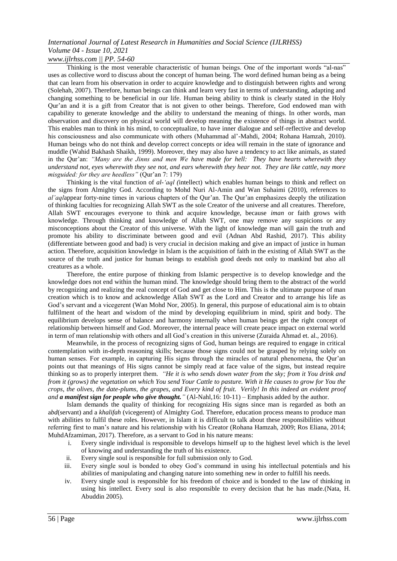*www.ijlrhss.com || PP. 54-60*

Thinking is the most venerable characteristic of human beings. One of the important words "al-nas" uses as collective word to discuss about the concept of human being. The word defined human being as a being that can learn from his observation in order to acquire knowledge and to distinguish between rights and wrong (Solehah, 2007). Therefore, human beings can think and learn very fast in terms of understanding, adapting and changing something to be beneficial in our life. Human being ability to think is clearly stated in the Holy Qur"an and it is a gift from Creator that is not given to other beings. Therefore, God endowed man with capability to generate knowledge and the ability to understand the meaning of things. In other words, man observation and discovery on physical world will develop meaning the existence of things in abstract world. This enables man to think in his mind, to conceptualize, to have inner dialogue and self-reflective and develop his consciousness and also communicate with others (Muhammad al'-Mahdi, 2004; Rohana Hamzah, 2010). Human beings who do not think and develop correct concepts or idea will remain in the state of ignorance and muddle (Wahid Bakhash Shaikh, 1999). Moreover, they may also have a tendency to act like animals, as stated in the Qur"an: *"Many are the Jinns and men We have made for hell: They have hearts wherewith they understand not, eyes wherewith they see not, and ears wherewith they hear not. They are like cattle, nay more misguided: for they are heedless"* (Qur'an 7: 179)

Thinking is the vital function of *al-"aql (*intellect) which enables human beings to think and reflect on the signs from Almighty God. According to Mohd Nuri Al-Amin and Wan Suhaimi (2010), references to *al'aqlappear forty-nine times in various chapters of the Qur'an. The Qur'an emphasizes deeply the utilization* of thinking faculties for recognizing Allah SWT as the sole Creator of the universe and all creatures. Therefore, Allah SWT encourages everyone to think and acquire knowledge, because *iman* or faith grows with knowledge. Through thinking and knowledge of Allah SWT, one may remove any suspicions or any misconceptions about the Creator of this universe. With the light of knowledge man will gain the truth and promote his ability to discriminate between good and evil (Adnan Abd Rashid, 2017). This ability (differentiate between good and bad) is very crucial in decision making and give an impact of justice in human action. Therefore, acquisition knowledge in Islam is the acquisition of faith in the existing of Allah SWT as the source of the truth and justice for human beings to establish good deeds not only to mankind but also all creatures as a whole.

Therefore, the entire purpose of thinking from Islamic perspective is to develop knowledge and the knowledge does not end within the human mind. The knowledge should bring them to the abstract of the world by recognizing and realizing the real concept of God and get close to Him. This is the ultimate purpose of man creation which is to know and acknowledge Allah SWT as the Lord and Creator and to arrange his life as God"s servant and a vicegerent (Wan Mohd Nor, 2005). In general, this purpose of educational aim is to obtain fulfilment of the heart and wisdom of the mind by developing equilibrium in mind, spirit and body. The equilibrium develops sense of balance and harmony internally when human beings get the right concept of relationship between himself and God. Moreover, the internal peace will create peace impact on external world in term of man relationship with others and all God's creation in this universe (Zuraida Ahmad et. al., 2016).

Meanwhile, in the process of recognizing signs of God, human beings are required to engage in critical contemplation with in-depth reasoning skills; because those signs could not be grasped by relying solely on human senses. For example, in capturing His signs through the miracles of natural phenomena, the Qur'an points out that meanings of His signs cannot be simply read at face value of the signs, but instead require thinking so as to properly interpret them. *"He it is who sends down water from the sky; from it You drink and from it (grows) the vegetation on which You send Your Cattle to pasture. With it He causes to grow for You the crops, the olives, the date-plums, the grapes, and Every kind of fruit. Verily! In this indeed an evident proof and a manifest sign for people who give thought."* (Al-Nahl,16: 10-11) – Emphasis added by the author.

Islam demands the quality of thinking for recognizing His signs since man is regarded as both an a*bd*(servant) and a *khalifah* (vicegerent) of Almighty God. Therefore, education process means to produce man with abilities to fulfil these roles. However, in Islam it is difficult to talk about these responsibilities without referring first to man"s nature and his relationship with his Creator (Rohana Hamzah, 2009; Ros Eliana, 2014; MuhdAfzamiman, 2017). Therefore, as a servant to God in his nature means:

- i. Every single individual is responsible to develops himself up to the highest level which is the level of knowing and understanding the truth of his existence.
- ii. Every single soul is responsible for full submission only to God.
- iii. Every single soul is bonded to obey God's command in using his intellectual potentials and his abilities of manipulating and changing nature into something new in order to fulfill his needs.
- iv. Every single soul is responsible for his freedom of choice and is bonded to the law of thinking in using his intellect. Every soul is also responsible to every decision that he has made.(Nata, H. Abuddin 2005).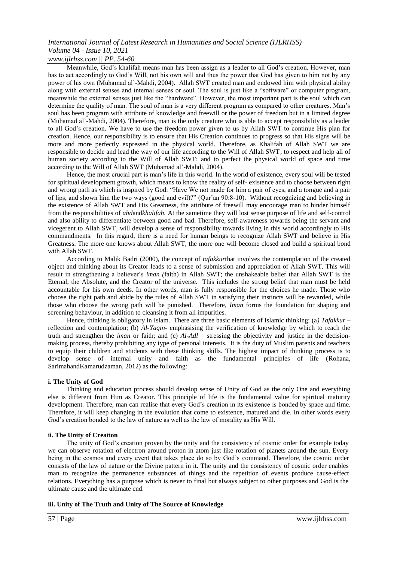*www.ijlrhss.com || PP. 54-60*

Meanwhile, God"s khalifah means man has been assign as a leader to all God"s creation. However, man has to act accordingly to God's Will, not his own will and thus the power that God has given to him not by any power of his own (Muhamad al"-Mahdi, 2004). Allah SWT created man and endowed him with physical ability along with external senses and internal senses or soul. The soul is just like a "software" or computer program, meanwhile the external senses just like the "hardware". However, the most important part is the soul which can determine the quality of man. The soul of man is a very different program as compared to other creatures. Man"s soul has been program with attribute of knowledge and freewill or the power of freedom but in a limited degree (Muhamad al"-Mahdi, 2004). Therefore, man is the only creature who is able to accept responsibility as a leader to all God"s creation. We have to use the freedom power given to us by Allah SWT to continue His plan for creation. Hence, our responsibility is to ensure that His Creation continues to progress so that His signs will be more and more perfectly expressed in the physical world. Therefore, as Khalifah of Allah SWT we are responsible to decide and lead the way of our life according to the Will of Allah SWT; to respect and help all of human society according to the Will of Allah SWT; and to perfect the physical world of space and time according to the Will of Allah SWT (Muhamad al"-Mahdi, 2004).

Hence, the most crucial part is man"s life in this world. In the world of existence, every soul will be tested for spiritual development growth, which means to know the reality of self- existence and to choose between right and wrong path as which is inspired by God: "Have We not made for him a pair of eyes, and a tongue and a pair of lips, and shown him the two ways (good and evil)?" (Qur"an 90:8-10). Without recognizing and believing in the existence of Allah SWT and His Greatness, the attribute of freewill may encourage man to hinder himself from the responsibilities of *abd*and*khalifah.* At the sametime they will lost sense purpose of life and self-control and also ability to differentiate between good and bad. Therefore, self-awareness towards being the servant and vicegerent to Allah SWT, will develop a sense of responsibility towards living in this world accordingly to His commandments. In this regard, there is a need for human beings to recognize Allah SWT and believe in His Greatness. The more one knows about Allah SWT, the more one will become closed and build a spiritual bond with Allah SWT.

According to Malik Badri (2000), the concept of *tafakkur*that involves the contemplation of the created object and thinking about its Creator leads to a sense of submission and appreciation of Allah SWT. This will result in strengthening a believer"s *iman (*faith) in Allah SWT; the unshakeable belief that Allah SWT is the Eternal, the Absolute, and the Creator of the universe. This includes the strong belief that man must be held accountable for his own deeds. In other words, man is fully responsible for the choices he made. Those who choose the right path and abide by the rules of Allah SWT in satisfying their instincts will be rewarded, while those who choose the wrong path will be punished. Therefore, *Iman* forms the foundation for shaping and screening behaviour, in addition to cleansing it from all impurities.

Hence, thinking is obligatory in Islam. There are three basic elements of Islamic thinking: (a*) Tafakkur –* reflection and contemplation; (b) *Al-Yaqin-* emphasising the verification of knowledge by which to reach the truth and strengthen the *iman* or faith; and (c)  $A l$ -Adl – stressing the objectivity and justice in the decisionmaking process, thereby prohibiting any type of personal interests. It is the duty of Muslim parents and teachers to equip their children and students with these thinking skills. The highest impact of thinking process is to develop sense of internal unity and faith as the fundamental principles of life (Rohana, SarimahandKamarudzaman, 2012) as the following:

#### **i. The Unity of God**

Thinking and education process should develop sense of Unity of God as the only One and everything else is different from Him as Creator. This principle of life is the fundamental value for spiritual maturity development. Therefore, man can realise that every God"s creation in its existence is bonded by space and time. Therefore, it will keep changing in the evolution that come to existence, matured and die. In other words every God"s creation bonded to the law of nature as well as the law of morality as His Will.

#### **ii. The Unity of Creation**

The unity of God"s creation proven by the unity and the consistency of cosmic order for example today we can observe rotation of electron around proton in atom just like rotation of planets around the sun. Every being in the cosmos and every event that takes place do so by God"s command. Therefore, the cosmic order consists of the law of nature or the Divine pattern in it. The unity and the consistency of cosmic order enables man to recognize the permanence substances of things and the repetition of events produce cause-effect relations. Everything has a purpose which is never to final but always subject to other purposes and God is the ultimate cause and the ultimate end.

#### **iii. Unity of The Truth and Unity of The Source of Knowledge**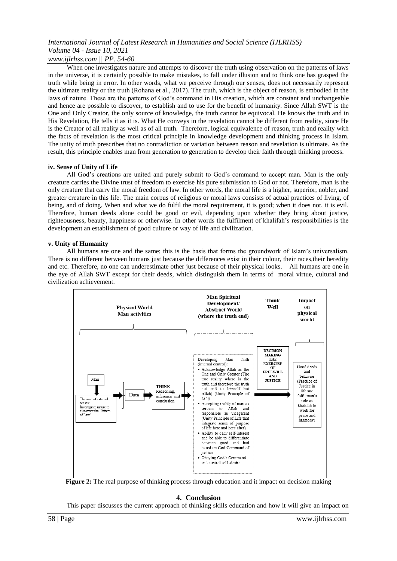*www.ijlrhss.com || PP. 54-60*

When one investigates nature and attempts to discover the truth using observation on the patterns of laws in the universe, it is certainly possible to make mistakes, to fall under illusion and to think one has grasped the truth while being in error. In other words, what we perceive through our senses, does not necessarily represent the ultimate reality or the truth (Rohana et al., 2017). The truth, which is the object of reason, is embodied in the laws of nature. These are the patterns of God's command in His creation, which are constant and unchangeable and hence are possible to discover, to establish and to use for the benefit of humanity. Since Allah SWT is the One and Only Creator, the only source of knowledge, the truth cannot be equivocal. He knows the truth and in His Revelation, He tells it as it is. What He conveys in the revelation cannot be different from reality, since He is the Creator of all reality as well as of all truth. Therefore, logical equivalence of reason, truth and reality with the facts of revelation is the most critical principle in knowledge development and thinking process in Islam. The unity of truth prescribes that no contradiction or variation between reason and revelation is ultimate. As the result, this principle enables man from generation to generation to develop their faith through thinking process.

#### **iv. Sense of Unity of Life**

All God"s creations are united and purely submit to God"s command to accept man. Man is the only creature carries the Divine trust of freedom to exercise his pure submission to God or not. Therefore, man is the only creature that carry the moral freedom of law. In other words, the moral life is a higher, superior, nobler, and greater creature in this life. The main corpus of religious or moral laws consists of actual practices of living, of being, and of doing. When and what we do fulfil the moral requirement, it is good; when it does not, it is evil. Therefore, human deeds alone could be good or evil, depending upon whether they bring about justice, righteousness, beauty, happiness or otherwise. In other words the fulfilment of khalifah"s responsibilities is the development an establishment of good culture or way of life and civilization.

#### **v. Unity of Humanity**

All humans are one and the same; this is the basis that forms the groundwork of Islam"s universalism. There is no different between humans just because the differences exist in their colour, their races,their heredity and etc. Therefore, no one can underestimate other just because of their physical looks. All humans are one in the eye of Allah SWT except for their deeds, which distinguish them in terms of moral virtue, cultural and civilization achievement.



**Figure 2:** The real purpose of thinking process through education and it impact on decision making

#### **4. Conclusion**

This paper discusses the current approach of thinking skills education and how it will give an impact on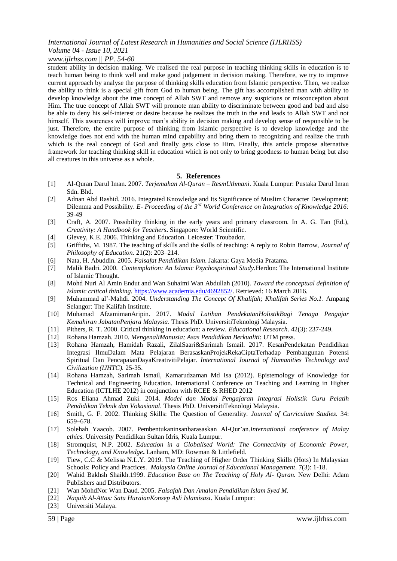### *www.ijlrhss.com || PP. 54-60*

student ability in decision making. We realised the real purpose in teaching thinking skills in education is to teach human being to think well and make good judgement in decision making. Therefore, we try to improve current approach by analyse the purpose of thinking skills education from Islamic perspective. Then, we realize the ability to think is a special gift from God to human being. The gift has accomplished man with ability to develop knowledge about the true concept of Allah SWT and remove any suspicions or misconception about Him. The true concept of Allah SWT will promote man ability to discriminate between good and bad and also be able to deny his self-interest or desire because he realizes the truth in the end leads to Allah SWT and not himself. This awareness will improve man's ability in decision making and develop sense of responsible to be just. Therefore, the entire purpose of thinking from Islamic perspective is to develop knowledge and the knowledge does not end with the human mind capability and bring them to recognizing and realize the truth which is the real concept of God and finally gets close to Him. Finally, this article propose alternative framework for teaching thinking skill in education which is not only to bring goodness to human being but also all creatures in this universe as a whole.

#### **5. References**

- [1] Al-Quran Darul Iman. 2007. *Terjemahan Al-Quran – ResmUthmani*. Kuala Lumpur: Pustaka Darul Iman Sdn. Bhd.
- [2] Adnan Abd Rashid. 2016. Integrated Knowledge and Its Significance of Muslim Character Development; Dilemma and Possibility. *E- Proceeding of the 3rd World Conference on Integration of Knowledge 2016:* 39-49
- [3] Craft, A. 2007. Possibility thinking in the early years and primary classroom. In A. G. Tan (Ed.), *Creativity: A Handbook for Teachers***.** Singapore: World Scientific.
- [4] Glevey, K.E. 2006. Thinking and Education. Leicester: Troubador.
- [5] Griffiths, M. 1987. The teaching of skills and the skills of teaching: A reply to Robin Barrow, *Journal of Philosophy of Education*. 21(2): 203–214.
- [6] Nata, H. Abuddin. 2005. *Falsafat Pendidikan Islam*. Jakarta: Gaya Media Pratama.
- [7] Malik Badri. 2000. *Contemplation: An Islamic Psychospiritual Study.*Herdon: The International Institute of Islamic Thought.
- [8] Mohd Nuri Al Amin Endut and Wan Suhaimi Wan Abdullah (2010). *Toward the conceptual definition of Islamic critical thinking.* [https://www.academia.edu/4692852/.](https://www.academia.edu/4692852/) Retrieved: 16 March 2016.
- [9] Muhammad al"-Mahdi. 2004. *Understanding The Concept Of Khalifah; Khalifah Series No.1*. Ampang Selangor: The Kalifah Institute.
- [10] Muhamad AfzamimanAripin. 2017. *Modul Latihan PendekatanHolistikBagi Tenaga Pengajar Kemahiran JabatanPenjara Malaysia*. Thesis PhD. UniversitiTeknologi Malaysia.
- [11] Pithers, R. T. 2000. Critical thinking in education: a review. *Educational Research*. 42(3): 237-249.
- [12] Rohana Hamzah. 2010. *MengenaliManusia; Asas Pendidikan Berkualiti*: UTM press.
- [13] Rohana Hamzah, Hamidah Razali, ZilalSaari&Sarimah Ismail. 2017. KesanPendekatan Pendidikan Integrasi IlmuDalam Mata Pelajaran BerasaskanProjekRekaCiptaTerhadap Pembangunan Potensi Spiritual Dan PencapaianDayaKreativitiPelajar. *International Journal of Humanities Technology and Civilization (IJHTC).* 25-35.
- [14] Rohana Hamzah, Sarimah Ismail, Kamarudzaman Md Isa (2012). Epistemology of Knowledge for Technical and Engineering Education. International Conference on Teaching and Learning in Higher Education (ICTLHE 2012) in conjunction with RCEE & RHED 2012
- [15] Ros Eliana Ahmad Zuki. 2014. *Model dan Modul Pengajaran Integrasi Holistik Guru Pelatih Pendidikan Teknik dan Vokasional*. Thesis PhD. UniversitiTeknologi Malaysia.
- [16] Smith, G. F. 2002. Thinking Skills: The Question of Generality. *Journal of Curriculum Studies.* 34: 659–678.
- [17] Solehah Yaacob. 2007. Pembentukaninsanbarasaskan Al-Qur"an.*International conference of Malay ethics.* University Pendidikan Sultan Idris, Kuala Lumpur.
- [18] Stromquist, N.P. 2002. *Education in a Globalised World: The Connectivity of Economic Power, Technology, and Knowledge***.** Lanham, MD: Rowman & Littlefield.
- [19] Tiew, C.C & Melissa N.L.Y. 2019. The Teaching of Higher Order Thinking Skills (Hots) In Malaysian Schools: Policy and Practices. *Malaysia Online Journal of Educational Management*. 7(3): 1-18.
- [20] Wahid Bakhsh Shaikh.1999. *Education Base on The Teaching of Holy Al- Quran.* New Delhi: Adam Publishers and Distributors.
- [21] Wan MohdNor Wan Daud. 2005. *Falsafah Dan Amalan Pendidikan Islam Syed M.*
- [22] *Naquib Al-Attas: Satu HuraianKonsep Asli Islamisasi*. Kuala Lumpur:
- [23] Universiti Malaya.